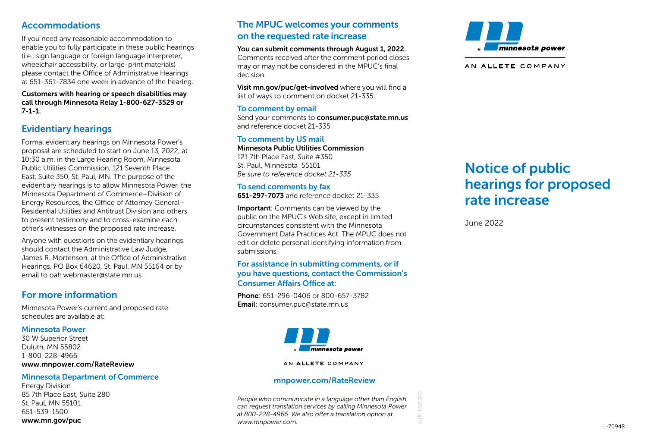## Accommodations

If you need any reasonable accommodation to enable you to fully participate in these public hearings (i.e., sign language or foreign language interpreter, wheelchair accessibility, or large-print materials) please contact the Office of Administrative Hearings at 651-361-7834 one week in advance of the hearing.

Customers with hearing or speech disabilities may call through Minnesota Relay 1-800-627-3529 or 7-1-1.

## Evidentiary hearings

Formal evidentiary hearings on Minnesota Power's proposal are scheduled to start on June 13, 2022, at 10:30 a.m. in the Large Hearing Room, Minnesota Public Utilities Commission, 121 Seventh Place East, Suite 350, St. Paul, MN. The purpose of the evidentiary hearings is to allow Minnesota Power, the Minnesota Department of Commerce–Division of Energy Resources, the Office of Attorney General– Residential Utilities and Antitrust Division and others to present testimony and to cross-examine each other's witnesses on the proposed rate increase.

Anyone with questions on the evidentiary hearings should contact the Administrative Law Judge, James R. Mortenson, at the Office of Administrative Hearings, PO Box 64620, St. Paul, MN 55164 or by email to oah.webmaster@state.mn.us.

## For more information

Minnesota Power's current and proposed rate schedules are available at:

#### Minnesota Power

30 W Superior Street Duluth, MN 55802 1-800-228-4966 www.mnpower.com/RateReview

#### Minnesota Department of Commerce

Energy Division 85 7th Place East, Suite 280 St. Paul, MN 55101 651-539-1500 www.mn.gov/puc

## The MPUC welcomes your comments on the requested rate increase

You can submit comments through August 1, 2022.

Comments received after the comment period closes may or may not be considered in the MPUC's final decision.

Visit mn.gov/puc/get-involved where you will find a list of ways to comment on docket 21-335.

#### To comment by email

Send your comments to consumer.puc@state.mn.us and reference docket 21-335

To comment by US mail Minnesota Public Utilities Commission 121 7th Place East, Suite #350 St. Paul, Minnesota 55101 *Be sure to reference docket 21-335*

## To send comments by fax

651-297-7073 and reference docket 21-335

Important: Comments can be viewed by the public on the MPUC's Web site, except in limited circumstances consistent with the Minnesota Government Data Practices Act. The MPUC does not edit or delete personal identifying information from submissions.

#### For assistance in submitting comments, or if you have questions, contact the Commission's Consumer Affairs Office at:

Phone: 651-296-0406 or 800-657-3782 Email: consumer.puc@state.mn.us



#### AN ALLETE COMPANY

#### mnpower.com/RateReview

*People who communicate in a language other than English can request translation services by calling Minnesota Power at 800-228-4966. We also offer a translation option at www.mnpower.com.*

21130



AN ALLETE COMPANY

# Notice of public hearings for proposed rate increase

June 2022